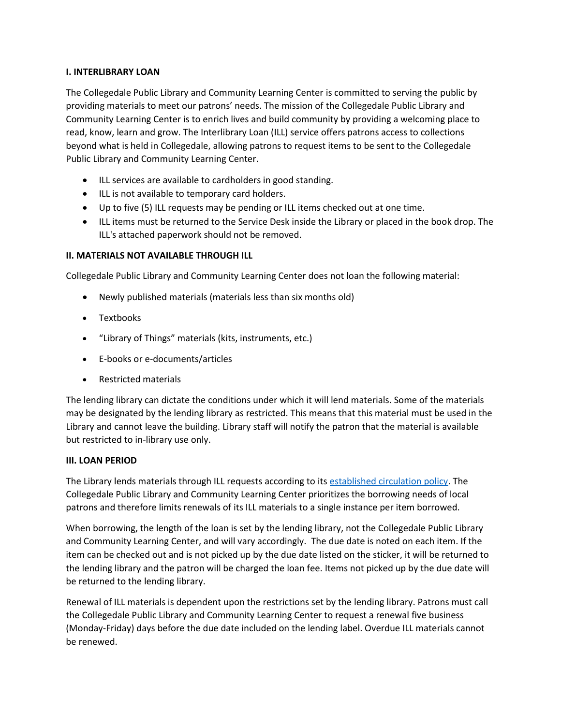## **I. INTERLIBRARY LOAN**

The Collegedale Public Library and Community Learning Center is committed to serving the public by providing materials to meet our patrons' needs. The mission of the Collegedale Public Library and Community Learning Center is to enrich lives and build community by providing a welcoming place to read, know, learn and grow. The Interlibrary Loan (ILL) service offers patrons access to collections beyond what is held in Collegedale, allowing patrons to request items to be sent to the Collegedale Public Library and Community Learning Center.

- ILL services are available to cardholders in good standing.
- ILL is not available to temporary card holders.
- Up to five (5) ILL requests may be pending or ILL items checked out at one time.
- ILL items must be returned to the Service Desk inside the Library or placed in the book drop. The ILL's attached paperwork should not be removed.

## **II. MATERIALS NOT AVAILABLE THROUGH ILL**

Collegedale Public Library and Community Learning Center does not loan the following material:

- Newly published materials (materials less than six months old)
- Textbooks
- "Library of Things" materials (kits, instruments, etc.)
- E-books or e-documents/articles
- Restricted materials

The lending library can dictate the conditions under which it will lend materials. Some of the materials may be designated by the lending library as restricted. This means that this material must be used in the Library and cannot leave the building. Library staff will notify the patron that the material is available but restricted to in-library use only.

## **III. LOAN PERIOD**

The Library lends materials through ILL requests according to its [established circulation policy.](https://www.collegedalepubliclibrary.org/sites/default/files/Collegedale%20Collection%20Development%20Policy.pdf) The Collegedale Public Library and Community Learning Center prioritizes the borrowing needs of local patrons and therefore limits renewals of its ILL materials to a single instance per item borrowed.

When borrowing, the length of the loan is set by the lending library, not the Collegedale Public Library and Community Learning Center, and will vary accordingly. The due date is noted on each item. If the item can be checked out and is not picked up by the due date listed on the sticker, it will be returned to the lending library and the patron will be charged the loan fee. Items not picked up by the due date will be returned to the lending library.

Renewal of ILL materials is dependent upon the restrictions set by the lending library. Patrons must call the Collegedale Public Library and Community Learning Center to request a renewal five business (Monday-Friday) days before the due date included on the lending label. Overdue ILL materials cannot be renewed.